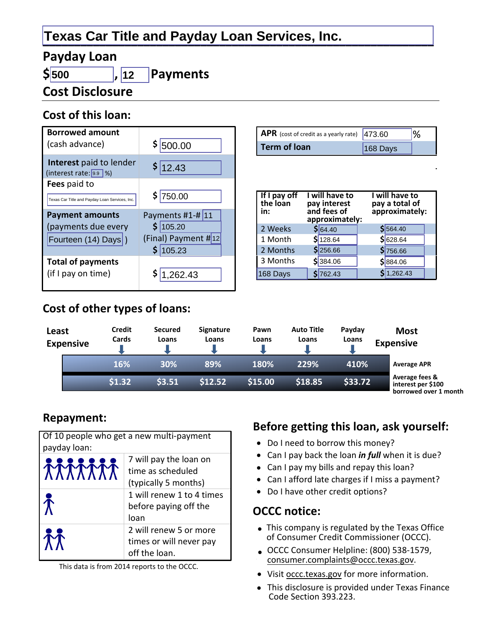# **Texas Car Title and Payday Loan Services, Inc.**

### **Payday Loan**

 $$|500$ 

#### **Payments**  $\vert$ , 12

**Cost Disclosure** 

## Cost of this loan:

| <b>Borrowed amount</b><br>(cash advance)                             | \$ 500.00                                                          |
|----------------------------------------------------------------------|--------------------------------------------------------------------|
| Interest paid to lender<br>(interest rate: 9.9 %)                    | \$12.43                                                            |
| Fees paid to<br>Texas Car Title and Payday Loan Services, Inc.       | \$750.00                                                           |
|                                                                      |                                                                    |
| <b>Payment amounts</b><br>(payments due every<br>Fourteen (14) Days) | Payments $#1 - #$ 11<br>\$ 105.20<br>(Final) Payment #12<br>105.23 |

| <b>APR</b> (cost of credit as a yearly rate) $ 473.60$ |            | $\%$ |
|--------------------------------------------------------|------------|------|
| <b>Term of loan</b>                                    | $168$ Days |      |

| If I pay off<br>the loan<br>in: | I will have to<br>pay interest<br>and fees of<br>approximately: | I will have to<br>pay a total of<br>approximately: |  |  |
|---------------------------------|-----------------------------------------------------------------|----------------------------------------------------|--|--|
| 2 Weeks                         | \$64.40                                                         | \$ 564.40                                          |  |  |
| 1 Month                         | $S$ 128.64                                                      | $$$ 628.64                                         |  |  |
| 2 Months                        | \$256.66                                                        | \$756.66                                           |  |  |
| 3 Months                        | \$384.06                                                        | \$ 884.06                                          |  |  |
| 168 Days                        | 762.43                                                          | \$1,262.43                                         |  |  |

# Cost of other types of loans:

| Least<br><b>Expensive</b> | Credit<br>Cards | <b>Secured</b><br>Loans | <b>Signature</b><br>Loans | Pawn<br>Loans | <b>Auto Title</b><br>Loans | Payday<br>Loans | <b>Most</b><br><b>Expensive</b>                               |
|---------------------------|-----------------|-------------------------|---------------------------|---------------|----------------------------|-----------------|---------------------------------------------------------------|
|                           | 16%             | 30%                     | 89%                       | 180%          | 229%                       | 410%            | <b>Average APR</b>                                            |
|                           | \$1.32          | 53.51                   | \$12.52                   | \$15.00       | \$18.85                    | \$33.72         | Average fees &<br>interest per \$100<br>horrowed over 1 month |

### **Repayment:**

| Of 10 people who get a new multi-payment<br>payday loan: |                                                                     |  |
|----------------------------------------------------------|---------------------------------------------------------------------|--|
| <b>TTTTTTT</b>                                           | 7 will pay the loan on<br>time as scheduled<br>(typically 5 months) |  |
|                                                          | 1 will renew 1 to 4 times<br>before paying off the<br>loan          |  |
|                                                          | 2 will renew 5 or more<br>times or will never pay<br>off the loan.  |  |

This data is from 2014 reports to the OCCC.

# Before getting this loan, ask yourself:

- Do I need to borrow this money?
- Can I pay back the loan *in full* when it is due?
- Can I pay my bills and repay this loan?
- Can I afford late charges if I miss a payment?
- Do I have other credit options?

### **OCCC notice:**

- This company is regulated by the Texas Office of Consumer Credit Commissioner (OCCC).
- OCCC Consumer Helpline: (800) 538-1579, consumer.complaints@occc.texas.gov.
- Visit occc.texas.gov for more information.
- This disclosure is provided under Texas Finance Code Section 393.223.